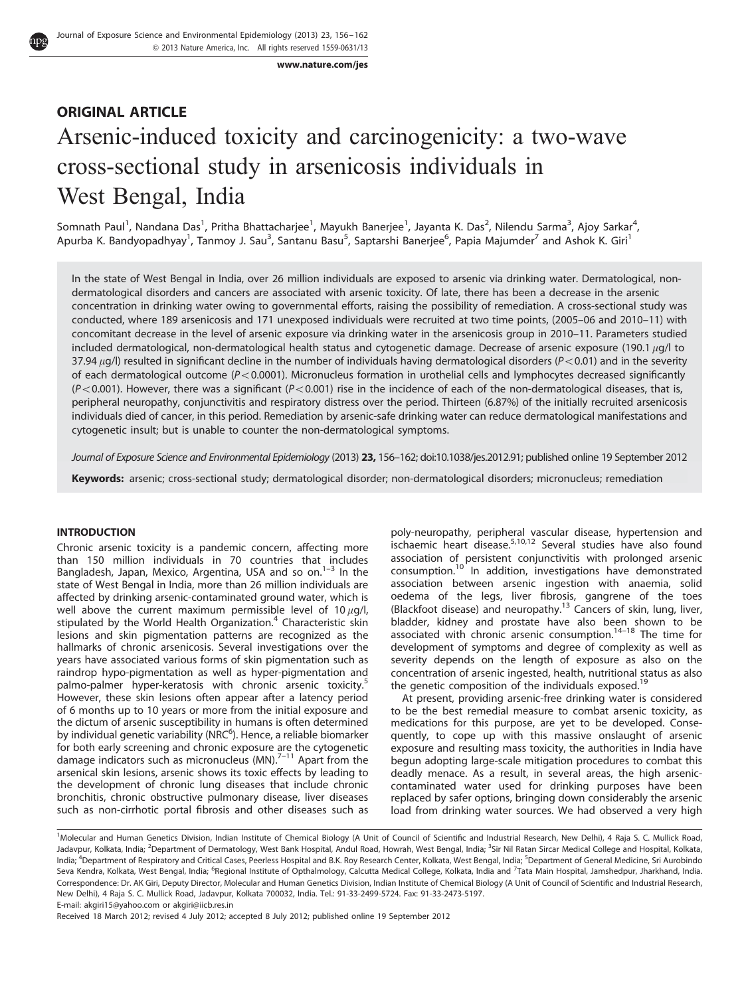www.nature.com/jes

# ORIGINAL ARTICLE Arsenic-induced toxicity and carcinogenicity: a two-wave cross-sectional study in arsenicosis individuals in West Bengal, India

Somnath Paul<sup>1</sup>, Nandana Das<sup>1</sup>, Pritha Bhattacharjee<sup>1</sup>, Mayukh Banerjee<sup>1</sup>, Jayanta K. Das<sup>2</sup>, Nilendu Sarma<sup>3</sup>, Ajoy Sarkar<sup>4</sup>, Apurba K. Bandyopadhyay<sup>1</sup>, Tanmoy J. Sau<sup>3</sup>, Santanu Basu<sup>5</sup>, Saptarshi Banerjee<sup>6</sup>, Papia Majumder<sup>7</sup> and Ashok K. Giri<sup>1</sup>

In the state of West Bengal in India, over 26 million individuals are exposed to arsenic via drinking water. Dermatological, nondermatological disorders and cancers are associated with arsenic toxicity. Of late, there has been a decrease in the arsenic concentration in drinking water owing to governmental efforts, raising the possibility of remediation. A cross-sectional study was conducted, where 189 arsenicosis and 171 unexposed individuals were recruited at two time points, (2005–06 and 2010–11) with concomitant decrease in the level of arsenic exposure via drinking water in the arsenicosis group in 2010–11. Parameters studied included dermatological, non-dermatological health status and cytogenetic damage. Decrease of arsenic exposure (190.1  $\mu$ g/l to 37.94  $\mu$ g/l) resulted in significant decline in the number of individuals having dermatological disorders ( $P < 0.01$ ) and in the severity of each dermatological outcome  $(P< 0.0001)$ . Micronucleus formation in urothelial cells and lymphocytes decreased significantly  $(P<0.001)$ . However, there was a significant  $(P<0.001)$  rise in the incidence of each of the non-dermatological diseases, that is, peripheral neuropathy, conjunctivitis and respiratory distress over the period. Thirteen (6.87%) of the initially recruited arsenicosis individuals died of cancer, in this period. Remediation by arsenic-safe drinking water can reduce dermatological manifestations and cytogenetic insult; but is unable to counter the non-dermatological symptoms.

Journal of Exposure Science and Environmental Epidemiology (2013) 23, 156–162; doi:10.1038/jes.2012.91; published online 19 September 2012

Keywords: arsenic; cross-sectional study; dermatological disorder; non-dermatological disorders; micronucleus; remediation

## INTRODUCTION

Chronic arsenic toxicity is a pandemic concern, affecting more than 150 million individuals in 70 countries that includes Bangladesh, Japan, Mexico, Argentina, USA and so on. $1-3$  In the state of West Bengal in India, more than 26 million individuals are affected by drinking arsenic-contaminated ground water, which is well above the current maximum permissible level of 10  $\mu$ g/l, stipulated by the World Health Organization.<sup>4</sup> Characteristic skin lesions and skin pigmentation patterns are recognized as the hallmarks of chronic arsenicosis. Several investigations over the years have associated various forms of skin pigmentation such as raindrop hypo-pigmentation as well as hyper-pigmentation and palmo-palmer hyper-keratosis with chronic arsenic toxicity.<sup>5</sup> However, these skin lesions often appear after a latency period of 6 months up to 10 years or more from the initial exposure and the dictum of arsenic susceptibility in humans is often determined by individual genetic variability (NRC<sup>6</sup>). Hence, a reliable biomarker for both early screening and chronic exposure are the cytogenetic damage indicators such as micronucleus (MN). $7-11$  Apart from the arsenical skin lesions, arsenic shows its toxic effects by leading to the development of chronic lung diseases that include chronic bronchitis, chronic obstructive pulmonary disease, liver diseases such as non-cirrhotic portal fibrosis and other diseases such as poly-neuropathy, peripheral vascular disease, hypertension and porty incurreducity, periprierial vascular disease, hypertension and ischaemic heart disease.<sup>5,10,12</sup> Several studies have also found association of persistent conjunctivitis with prolonged arsenic consumption.<sup>10</sup> In addition, investigations have demonstrated association between arsenic ingestion with anaemia, solid oedema of the legs, liver fibrosis, gangrene of the toes (Blackfoot disease) and neuropathy.<sup>13</sup> Cancers of skin, lung, liver, bladder, kidney and prostate have also been shown to be associated with chronic arsenic consumption. $14-18$  The time for development of symptoms and degree of complexity as well as severity depends on the length of exposure as also on the concentration of arsenic ingested, health, nutritional status as also the genetic composition of the individuals exposed.<sup>19</sup>

At present, providing arsenic-free drinking water is considered to be the best remedial measure to combat arsenic toxicity, as medications for this purpose, are yet to be developed. Consequently, to cope up with this massive onslaught of arsenic exposure and resulting mass toxicity, the authorities in India have begun adopting large-scale mitigation procedures to combat this deadly menace. As a result, in several areas, the high arseniccontaminated water used for drinking purposes have been replaced by safer options, bringing down considerably the arsenic load from drinking water sources. We had observed a very high

E-mail: akgiri15@yahoo.com or akgiri@iicb.res.in

Received 18 March 2012; revised 4 July 2012; accepted 8 July 2012; published online 19 September 2012

<sup>&</sup>lt;sup>1</sup>Molecular and Human Genetics Division, Indian Institute of Chemical Biology (A Unit of Council of Scientific and Industrial Research, New Delhi), 4 Raja S. C. Mullick Road, Jadavpur, Kolkata, India; <sup>2</sup>Department of Dermatology, West Bank Hospital, Andul Road, Howrah, West Bengal, India; <sup>3</sup>Sir Nil Ratan Sircar Medical College and Hospital, Kolkata, India; <sup>4</sup>Department of Respiratory and Critical Cases, Peerless Hospital and B.K. Roy Research Center, Kolkata, West Bengal, India; <sup>5</sup>Department of General Medicine, Sri Aurobindo Seva Kendra, Kolkata, West Bengal, India; <sup>6</sup>Regional Institute of Opthalmology, Calcutta Medical College, Kolkata, India and <sup>7</sup>Tata Main Hospital, Jamshedpur, Jharkhand, India. Correspondence: Dr. AK Giri, Deputy Director, Molecular and Human Genetics Division, Indian Institute of Chemical Biology (A Unit of Council of Scientific and Industrial Research, New Delhi), 4 Raja S. C. Mullick Road, Jadavpur, Kolkata 700032, India. Tel.: 91-33-2499-5724. Fax: 91-33-2473-5197.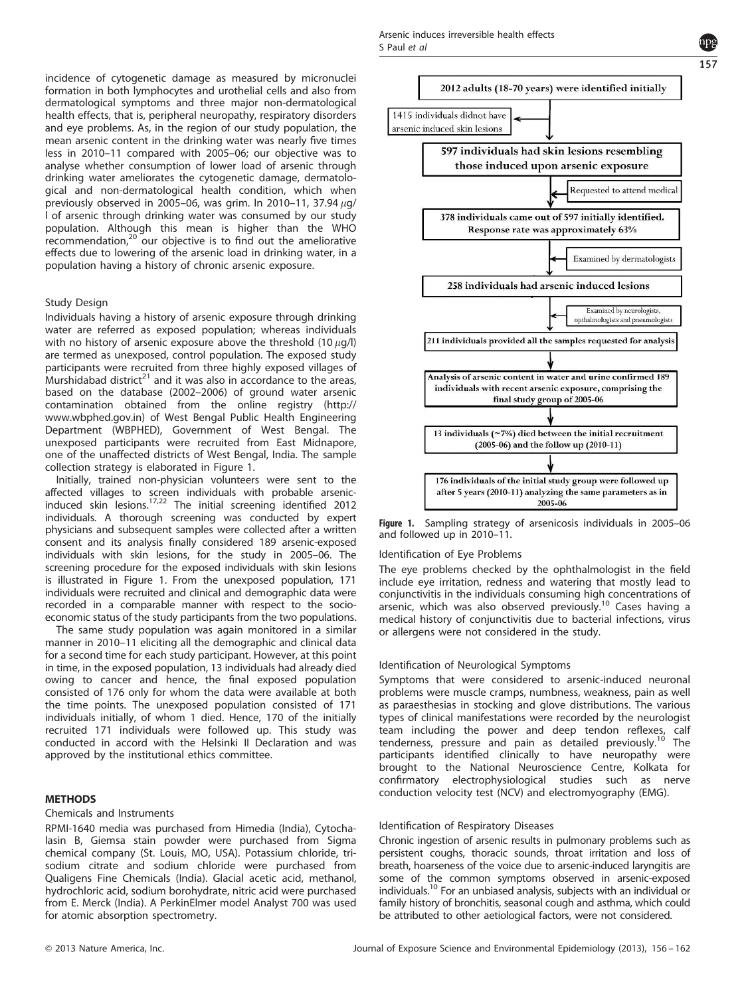incidence of cytogenetic damage as measured by micronuclei formation in both lymphocytes and urothelial cells and also from dermatological symptoms and three major non-dermatological health effects, that is, peripheral neuropathy, respiratory disorders and eye problems. As, in the region of our study population, the mean arsenic content in the drinking water was nearly five times less in 2010–11 compared with 2005–06; our objective was to analyse whether consumption of lower load of arsenic through drinking water ameliorates the cytogenetic damage, dermatological and non-dermatological health condition, which when previously observed in 2005–06, was grim. In 2010–11, 37.94  $\mu$ g/ l of arsenic through drinking water was consumed by our study population. Although this mean is higher than the WHO  $r$ ecommendation, $20$  our objective is to find out the ameliorative effects due to lowering of the arsenic load in drinking water, in a population having a history of chronic arsenic exposure.

# Study Design

Individuals having a history of arsenic exposure through drinking water are referred as exposed population; whereas individuals with no history of arsenic exposure above the threshold  $(10 \mu q/l)$ are termed as unexposed, control population. The exposed study participants were recruited from three highly exposed villages of Murshidabad district<sup>21</sup> and it was also in accordance to the areas, based on the database (2002–2006) of ground water arsenic contamination obtained from the online registry (http:// www.wbphed.gov.in) of West Bengal Public Health Engineering Department (WBPHED), Government of West Bengal. The unexposed participants were recruited from East Midnapore, one of the unaffected districts of West Bengal, India. The sample collection strategy is elaborated in Figure 1.

Initially, trained non-physician volunteers were sent to the affected villages to screen individuals with probable arsenic-induced skin lesions.17,22 The initial screening identified 2012 individuals. A thorough screening was conducted by expert physicians and subsequent samples were collected after a written consent and its analysis finally considered 189 arsenic-exposed individuals with skin lesions, for the study in 2005–06. The screening procedure for the exposed individuals with skin lesions is illustrated in Figure 1. From the unexposed population, 171 individuals were recruited and clinical and demographic data were recorded in a comparable manner with respect to the socioeconomic status of the study participants from the two populations.

The same study population was again monitored in a similar manner in 2010–11 eliciting all the demographic and clinical data for a second time for each study participant. However, at this point in time, in the exposed population, 13 individuals had already died owing to cancer and hence, the final exposed population consisted of 176 only for whom the data were available at both the time points. The unexposed population consisted of 171 individuals initially, of whom 1 died. Hence, 170 of the initially recruited 171 individuals were followed up. This study was conducted in accord with the Helsinki II Declaration and was approved by the institutional ethics committee.

#### METHODS

#### Chemicals and Instruments

RPMI-1640 media was purchased from Himedia (India), Cytochalasin B, Giemsa stain powder were purchased from Sigma chemical company (St. Louis, MO, USA). Potassium chloride, trisodium citrate and sodium chloride were purchased from Qualigens Fine Chemicals (India). Glacial acetic acid, methanol, hydrochloric acid, sodium borohydrate, nitric acid were purchased from E. Merck (India). A PerkinElmer model Analyst 700 was used for atomic absorption spectrometry.



157

Figure 1. Sampling strategy of arsenicosis individuals in 2005–06 and followed up in 2010–11.

#### Identification of Eye Problems

The eye problems checked by the ophthalmologist in the field include eye irritation, redness and watering that mostly lead to conjunctivitis in the individuals consuming high concentrations of arsenic, which was also observed previously.<sup>10</sup> Cases having a medical history of conjunctivitis due to bacterial infections, virus or allergens were not considered in the study.

#### Identification of Neurological Symptoms

Symptoms that were considered to arsenic-induced neuronal problems were muscle cramps, numbness, weakness, pain as well as paraesthesias in stocking and glove distributions. The various types of clinical manifestations were recorded by the neurologist team including the power and deep tendon reflexes, calf tenderness, pressure and pain as detailed previously.<sup>10</sup> The participants identified clinically to have neuropathy were brought to the National Neuroscience Centre, Kolkata for confirmatory electrophysiological studies such as nerve conduction velocity test (NCV) and electromyography (EMG).

#### Identification of Respiratory Diseases

Chronic ingestion of arsenic results in pulmonary problems such as persistent coughs, thoracic sounds, throat irritation and loss of breath, hoarseness of the voice due to arsenic-induced laryngitis are some of the common symptoms observed in arsenic-exposed individuals.<sup>10</sup> For an unbiased analysis, subjects with an individual or family history of bronchitis, seasonal cough and asthma, which could be attributed to other aetiological factors, were not considered.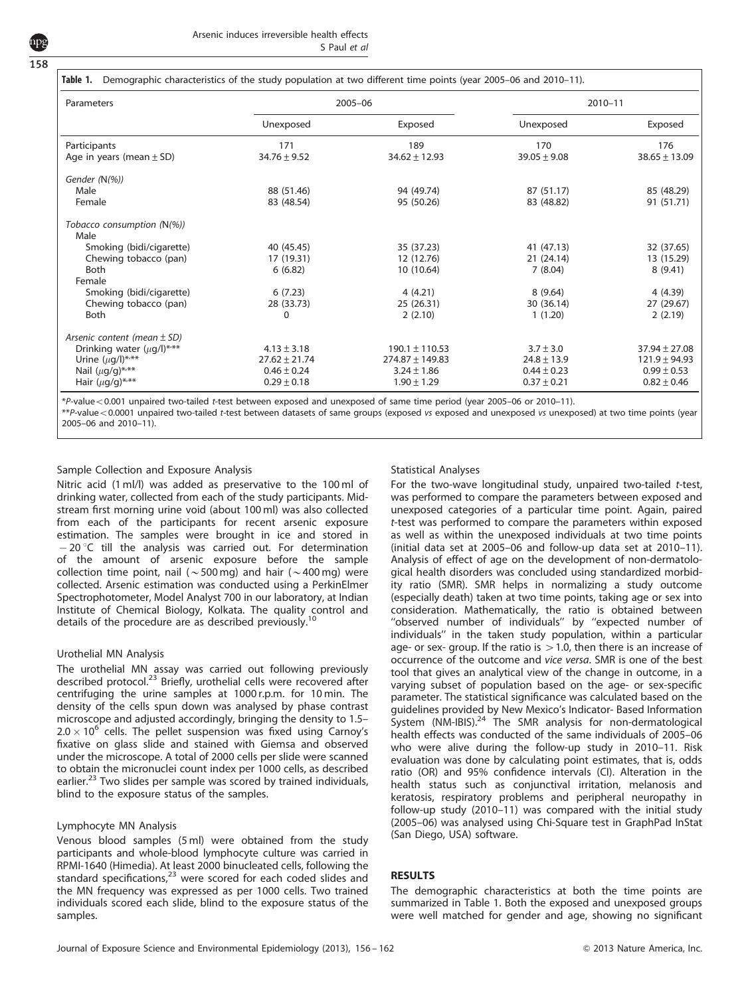|  |  | Table 1. Demographic characteristics of the study population at two different time points (year 2005-06 and 2010-11). |  |  |
|--|--|-----------------------------------------------------------------------------------------------------------------------|--|--|
|--|--|-----------------------------------------------------------------------------------------------------------------------|--|--|

| Parameters                        |                   | 2005-06             | 2010-11          |                   |  |
|-----------------------------------|-------------------|---------------------|------------------|-------------------|--|
|                                   | Unexposed         | Exposed             | Unexposed        | Exposed           |  |
| Participants                      | 171               | 189                 | 170              | 176               |  |
| Age in years (mean $\pm$ SD)      | $34.76 \pm 9.52$  | $34.62 \pm 12.93$   | $39.05 \pm 9.08$ | $38.65 \pm 13.09$ |  |
| Gender (N(%))                     |                   |                     |                  |                   |  |
| Male                              | 88 (51.46)        | 94 (49.74)          | 87 (51.17)       | 85 (48.29)        |  |
| Female                            | 83 (48.54)        | 95 (50.26)          | 83 (48.82)       | 91 (51.71)        |  |
| Tobacco consumption (N(%))        |                   |                     |                  |                   |  |
| Male                              |                   |                     |                  |                   |  |
| Smoking (bidi/cigarette)          | 40 (45.45)        | 35 (37.23)          | 41 (47.13)       | 32 (37.65)        |  |
| Chewing tobacco (pan)             | 17 (19.31)        | 12 (12.76)          | 21 (24.14)       | 13 (15.29)        |  |
| <b>Both</b>                       | 6(6.82)           | 10 (10.64)          | 7(8.04)          | 8(9.41)           |  |
| Female                            |                   |                     |                  |                   |  |
| Smoking (bidi/cigarette)          | 6(7.23)           | 4(4.21)             | 8(9.64)          | 4 (4.39)          |  |
| Chewing tobacco (pan)             | 28 (33.73)        | 25 (26.31)          | 30 (36.14)       | 27 (29.67)        |  |
| <b>Both</b>                       | 0                 | 2(2.10)             | 1(1.20)          | 2(2.19)           |  |
| Arsenic content (mean $\pm$ SD)   |                   |                     |                  |                   |  |
| Drinking water $(\mu q/l)^{*,**}$ | $4.13 \pm 3.18$   | $190.1 \pm 110.53$  | $3.7 \pm 3.0$    | $37.94 \pm 27.08$ |  |
| Urine $(\mu q/l)^{***}$           | $27.62 \pm 21.74$ | $274.87 \pm 149.83$ | $24.8 \pm 13.9$  | $121.9 \pm 94.93$ |  |
| Nail $(\mu g/g)$ ***              | $0.46 \pm 0.24$   | $3.24 \pm 1.86$     | $0.44 \pm 0.23$  | $0.99 \pm 0.53$   |  |
| Hair $(\mu g/g)^{***}$            | $0.29 \pm 0.18$   | $1.90 \pm 1.29$     | $0.37 \pm 0.21$  | $0.82 \pm 0.46$   |  |

\*P-value<0.001 unpaired two-tailed t-test between exposed and unexposed of same time period (year 2005–06 or 2010–11).

 $**$ P-value $<$ 0.0001 unpaired two-tailed t-test between datasets of same groups (exposed vs exposed and unexposed vs unexposed) at two time points (year 2005–06 and 2010–11).

#### Sample Collection and Exposure Analysis

Nitric acid (1 ml/l) was added as preservative to the 100 ml of drinking water, collected from each of the study participants. Midstream first morning urine void (about 100 ml) was also collected from each of the participants for recent arsenic exposure estimation. The samples were brought in ice and stored in  $-20$  °C till the analysis was carried out. For determination of the amount of arsenic exposure before the sample collection time point, nail ( $\sim$  500 mg) and hair ( $\sim$  400 mg) were collected. Arsenic estimation was conducted using a PerkinElmer Spectrophotometer, Model Analyst 700 in our laboratory, at Indian Institute of Chemical Biology, Kolkata. The quality control and details of the procedure are as described previously.<sup>10</sup>

#### Urothelial MN Analysis

The urothelial MN assay was carried out following previously described protocol.<sup>23</sup> Briefly, urothelial cells were recovered after centrifuging the urine samples at 1000 r.p.m. for 10 min. The density of the cells spun down was analysed by phase contrast microscope and adjusted accordingly, bringing the density to 1.5–  $2.0 \times 10^6$  cells. The pellet suspension was fixed using Carnoy's fixative on glass slide and stained with Giemsa and observed under the microscope. A total of 2000 cells per slide were scanned to obtain the micronuclei count index per 1000 cells, as described earlier.<sup>23</sup> Two slides per sample was scored by trained individuals, blind to the exposure status of the samples.

#### Lymphocyte MN Analysis

Venous blood samples (5 ml) were obtained from the study participants and whole-blood lymphocyte culture was carried in RPMI-1640 (Himedia). At least 2000 binucleated cells, following the standard specifications,<sup>23</sup> were scored for each coded slides and the MN frequency was expressed as per 1000 cells. Two trained individuals scored each slide, blind to the exposure status of the samples.

#### Statistical Analyses

For the two-wave longitudinal study, unpaired two-tailed t-test, was performed to compare the parameters between exposed and unexposed categories of a particular time point. Again, paired t-test was performed to compare the parameters within exposed as well as within the unexposed individuals at two time points (initial data set at 2005–06 and follow-up data set at 2010–11). Analysis of effect of age on the development of non-dermatological health disorders was concluded using standardized morbidity ratio (SMR). SMR helps in normalizing a study outcome (especially death) taken at two time points, taking age or sex into consideration. Mathematically, the ratio is obtained between ''observed number of individuals'' by ''expected number of individuals'' in the taken study population, within a particular age- or sex- group. If the ratio is  $>1.0$ , then there is an increase of occurrence of the outcome and vice versa. SMR is one of the best tool that gives an analytical view of the change in outcome, in a varying subset of population based on the age- or sex-specific parameter. The statistical significance was calculated based on the guidelines provided by New Mexico's Indicator- Based Information System (NM-IBIS).<sup>24</sup> The SMR analysis for non-dermatological health effects was conducted of the same individuals of 2005–06 who were alive during the follow-up study in 2010–11. Risk evaluation was done by calculating point estimates, that is, odds ratio (OR) and 95% confidence intervals (CI). Alteration in the health status such as conjunctival irritation, melanosis and keratosis, respiratory problems and peripheral neuropathy in follow-up study (2010–11) was compared with the initial study (2005–06) was analysed using Chi-Square test in GraphPad InStat (San Diego, USA) software.

#### RESULTS

The demographic characteristics at both the time points are summarized in Table 1. Both the exposed and unexposed groups were well matched for gender and age, showing no significant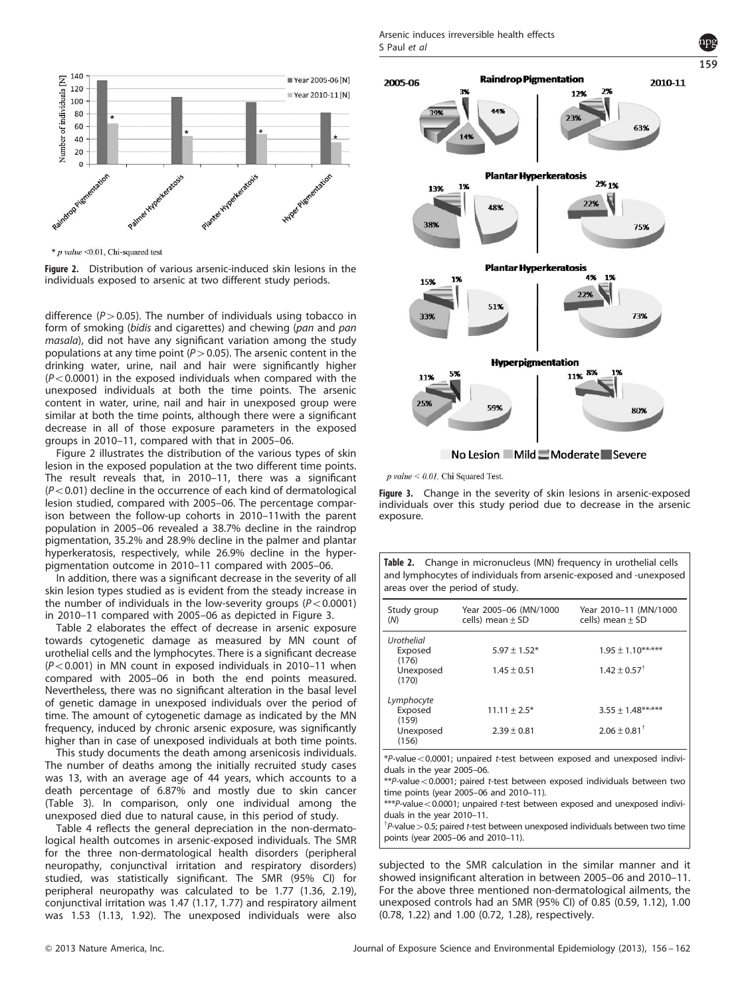

 $*$  p value < 0.01, Chi-squared test

Figure 2. Distribution of various arsenic-induced skin lesions in the individuals exposed to arsenic at two different study periods.

difference ( $P > 0.05$ ). The number of individuals using tobacco in form of smoking (bidis and cigarettes) and chewing (pan and pan masala), did not have any significant variation among the study populations at any time point ( $P > 0.05$ ). The arsenic content in the drinking water, urine, nail and hair were significantly higher  $(P<0.0001)$  in the exposed individuals when compared with the unexposed individuals at both the time points. The arsenic content in water, urine, nail and hair in unexposed group were similar at both the time points, although there were a significant decrease in all of those exposure parameters in the exposed groups in 2010–11, compared with that in 2005–06.

Figure 2 illustrates the distribution of the various types of skin lesion in the exposed population at the two different time points. The result reveals that, in 2010–11, there was a significant  $(P<0.01)$  decline in the occurrence of each kind of dermatological lesion studied, compared with 2005–06. The percentage comparison between the follow-up cohorts in 2010–11with the parent population in 2005–06 revealed a 38.7% decline in the raindrop pigmentation, 35.2% and 28.9% decline in the palmer and plantar hyperkeratosis, respectively, while 26.9% decline in the hyperpigmentation outcome in 2010–11 compared with 2005–06.

In addition, there was a significant decrease in the severity of all skin lesion types studied as is evident from the steady increase in the number of individuals in the low-severity groups ( $P < 0.0001$ ) in 2010–11 compared with 2005–06 as depicted in Figure 3.

Table 2 elaborates the effect of decrease in arsenic exposure towards cytogenetic damage as measured by MN count of urothelial cells and the lymphocytes. There is a significant decrease  $(P<0.001)$  in MN count in exposed individuals in 2010–11 when compared with 2005–06 in both the end points measured. Nevertheless, there was no significant alteration in the basal level of genetic damage in unexposed individuals over the period of time. The amount of cytogenetic damage as indicated by the MN frequency, induced by chronic arsenic exposure, was significantly higher than in case of unexposed individuals at both time points.

This study documents the death among arsenicosis individuals. The number of deaths among the initially recruited study cases was 13, with an average age of 44 years, which accounts to a death percentage of 6.87% and mostly due to skin cancer (Table 3). In comparison, only one individual among the unexposed died due to natural cause, in this period of study.

Table 4 reflects the general depreciation in the non-dermatological health outcomes in arsenic-exposed individuals. The SMR for the three non-dermatological health disorders (peripheral neuropathy, conjunctival irritation and respiratory disorders) studied, was statistically significant. The SMR (95% CI) for peripheral neuropathy was calculated to be 1.77 (1.36, 2.19), conjunctival irritation was 1.47 (1.17, 1.77) and respiratory ailment was 1.53 (1.13, 1.92). The unexposed individuals were also



159

 $p$  value < 0.01, Chi Squared Test.

Figure 3. Change in the severity of skin lesions in arsenic-exposed individuals over this study period due to decrease in the arsenic exposure.

Table 2. Change in micronucleus (MN) frequency in urothelial cells and lymphocytes of individuals from arsenic-exposed and -unexposed areas over the period of study.

| Study group<br>(N) | Year 2005-06 (MN/1000<br>cells) mean $\pm$ SD | Year 2010-11 (MN/1000<br>cells) mean $\pm$ SD |
|--------------------|-----------------------------------------------|-----------------------------------------------|
| Urothelial         |                                               |                                               |
| Exposed<br>(176)   | $5.97 \pm 1.52*$                              | $1.95 \pm 1.10***$                            |
| Unexposed<br>(170) | $1.45 \pm 0.51$                               | $1.42 + 0.57^{\dagger}$                       |
| Lymphocyte         |                                               |                                               |
| Exposed<br>(159)   | $11.11 \pm 2.5*$                              | $3.55 \pm 1.48$ *****                         |
| Unexposed<br>(156) | $2.39 \pm 0.81$                               | $2.06 + 0.81^{\dagger}$                       |

 $*P$ -value < 0.0001; unpaired t-test between exposed and unexposed individuals in the year 2005–06.

 $*P$ -value < 0.0001; paired t-test between exposed individuals between two time points (year 2005–06 and 2010–11).

 $***P$ -value < 0.0001; unpaired t-test between exposed and unexposed individuals in the year 2010–11.

 $\phi^{\dagger}$ P-value > 0.5; paired t-test between unexposed individuals between two time points (year 2005–06 and 2010–11).

subjected to the SMR calculation in the similar manner and it showed insignificant alteration in between 2005–06 and 2010–11. For the above three mentioned non-dermatological ailments, the unexposed controls had an SMR (95% CI) of 0.85 (0.59, 1.12), 1.00 (0.78, 1.22) and 1.00 (0.72, 1.28), respectively.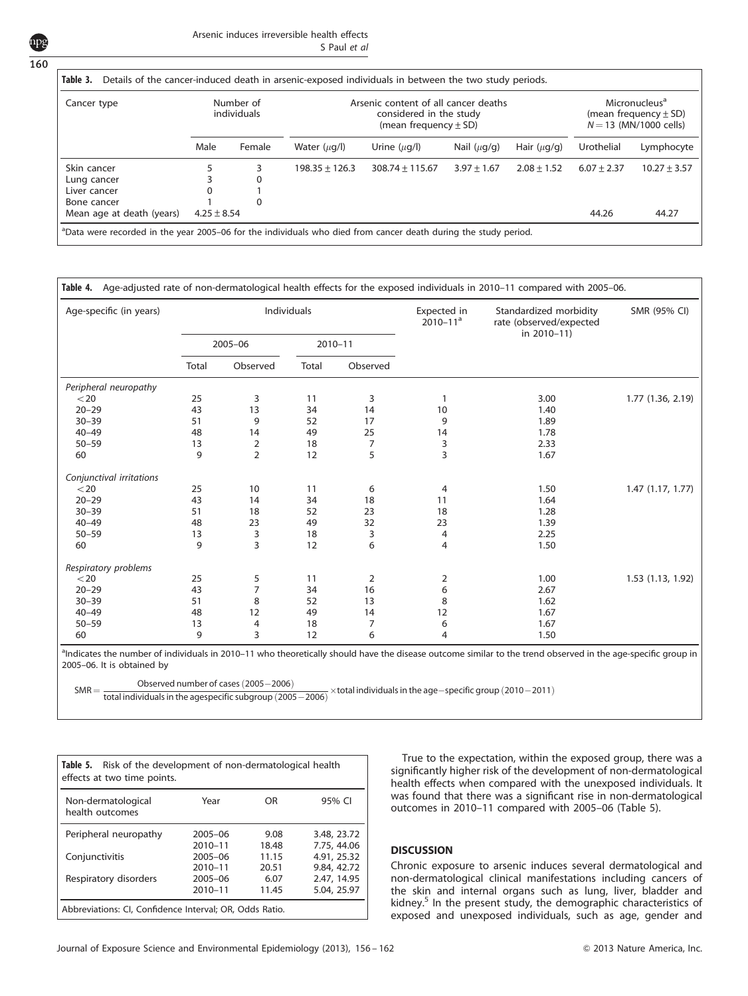160

| Arsenic induces irreversible health effects |              |
|---------------------------------------------|--------------|
|                                             | S Paul et al |

| Cancer type               | Number of<br>individuals |          | Arsenic content of all cancer deaths<br>considered in the study<br>(mean frequency $\pm$ SD) |                     |                  |                  | Micronucleus <sup>a</sup><br>(mean frequency $\pm$ SD)<br>$N = 13$ (MN/1000 cells) |                  |
|---------------------------|--------------------------|----------|----------------------------------------------------------------------------------------------|---------------------|------------------|------------------|------------------------------------------------------------------------------------|------------------|
|                           | Male                     | Female   | Water $(\mu q/l)$                                                                            | Urine $(\mu q/l)$   | Nail $(\mu q/q)$ | Hair $(\mu q/q)$ | Urothelial                                                                         | Lymphocyte       |
| Skin cancer               |                          | 3        | $198.35 \pm 126.3$                                                                           | $308.74 \pm 115.67$ | $3.97 \pm 1.67$  | $2.08 \pm 1.52$  | $6.07 \pm 2.37$                                                                    | $10.27 \pm 3.57$ |
| Lung cancer               |                          | 0        |                                                                                              |                     |                  |                  |                                                                                    |                  |
| Liver cancer              | 0                        |          |                                                                                              |                     |                  |                  |                                                                                    |                  |
| Bone cancer               |                          | $\Omega$ |                                                                                              |                     |                  |                  |                                                                                    |                  |
| Mean age at death (years) | $4.25 \pm 8.54$          |          |                                                                                              |                     |                  |                  | 44.26                                                                              | 44.27            |

| Age-specific (in years)  | Individuals |                |             |          | Expected in<br>$2010 - 11a$ | Standardized morbidity<br>rate (observed/expected<br>in 2010-11) | SMR (95% CI)      |
|--------------------------|-------------|----------------|-------------|----------|-----------------------------|------------------------------------------------------------------|-------------------|
|                          | 2005-06     |                | $2010 - 11$ |          |                             |                                                                  |                   |
|                          | Total       | Observed       | Total       | Observed |                             |                                                                  |                   |
| Peripheral neuropathy    |             |                |             |          |                             |                                                                  |                   |
| $<$ 20                   | 25          | 3              | 11          | 3        |                             | 3.00                                                             | 1.77 (1.36, 2.19) |
| $20 - 29$                | 43          | 13             | 34          | 14       | 10                          | 1.40                                                             |                   |
| $30 - 39$                | 51          | 9              | 52          | 17       | 9                           | 1.89                                                             |                   |
| $40 - 49$                | 48          | 14             | 49          | 25       | 14                          | 1.78                                                             |                   |
| $50 - 59$                | 13          | 2              | 18          | 7        | 3                           | 2.33                                                             |                   |
| 60                       | 9           | $\overline{2}$ | 12          | 5        | 3                           | 1.67                                                             |                   |
| Conjunctival irritations |             |                |             |          |                             |                                                                  |                   |
| $<$ 20                   | 25          | 10             | 11          | 6        | 4                           | 1.50                                                             | 1.47(1.17, 1.77)  |
| $20 - 29$                | 43          | 14             | 34          | 18       | 11                          | 1.64                                                             |                   |
| $30 - 39$                | 51          | 18             | 52          | 23       | 18                          | 1.28                                                             |                   |
| $40 - 49$                | 48          | 23             | 49          | 32       | 23                          | 1.39                                                             |                   |
| $50 - 59$                | 13          | 3              | 18          | 3        | 4                           | 2.25                                                             |                   |
| 60                       | 9           | 3              | 12          | 6        | 4                           | 1.50                                                             |                   |
| Respiratory problems     |             |                |             |          |                             |                                                                  |                   |
| $<$ 20                   | 25          | 5              | 11          | 2        | 2                           | 1.00                                                             | 1.53(1.13, 1.92)  |
| $20 - 29$                | 43          | 7              | 34          | 16       | 6                           | 2.67                                                             |                   |
| $30 - 39$                | 51          | 8              | 52          | 13       | 8                           | 1.62                                                             |                   |
| $40 - 49$                | 48          | 12             | 49          | 14       | 12                          | 1.67                                                             |                   |
| $50 - 59$                | 13          | 4              | 18          | 7        | 6                           | 1.67                                                             |                   |
| 60                       | 9           | 3              | 12          | 6        | 4                           | 1.50                                                             |                   |

2005–06. It is obtained by

 $SMR = \frac{SSE(1.12 \text{ m})}{\text{total individuals in the aggressive's history}} (2005 - 2006)$   $\times$  total individuals in the age-specific group (2010–2011) Observed number of cases (2005-2006)

| Table 5.<br>Risk of the development of non-dermatological health<br>effects at two time points.    |                            |                |                            |  |  |  |  |
|----------------------------------------------------------------------------------------------------|----------------------------|----------------|----------------------------|--|--|--|--|
| Non-dermatological<br>health outcomes                                                              | Year                       | OR             | 95% CI                     |  |  |  |  |
| Peripheral neuropathy                                                                              | $2005 - 06$<br>2010-11     | 9.08<br>18.48  | 3.48, 23.72<br>7.75, 44.06 |  |  |  |  |
| Conjunctivitis                                                                                     | $2005 - 06$<br>$2010 - 11$ | 11.15<br>20.51 | 4.91, 25.32<br>9.84, 42.72 |  |  |  |  |
| Respiratory disorders<br>2.47, 14.95<br>$2005 - 06$<br>6.07<br>5.04, 25.97<br>$2010 - 11$<br>11.45 |                            |                |                            |  |  |  |  |
| Abbreviations: CI, Confidence Interval; OR, Odds Ratio.                                            |                            |                |                            |  |  |  |  |

True to the expectation, within the exposed group, there was a significantly higher risk of the development of non-dermatological health effects when compared with the unexposed individuals. It was found that there was a significant rise in non-dermatological outcomes in 2010–11 compared with 2005–06 (Table 5).

# **DISCUSSION**

Chronic exposure to arsenic induces several dermatological and non-dermatological clinical manifestations including cancers of the skin and internal organs such as lung, liver, bladder and kidney.<sup>5</sup> In the present study, the demographic characteristics of exposed and unexposed individuals, such as age, gender and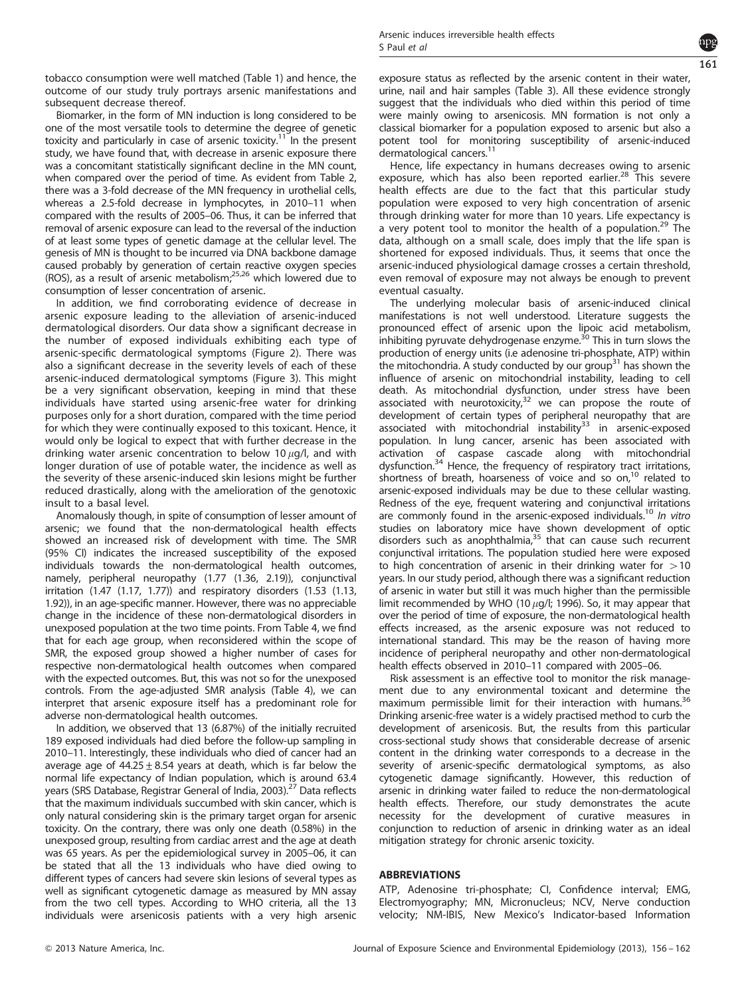

tobacco consumption were well matched (Table 1) and hence, the outcome of our study truly portrays arsenic manifestations and subsequent decrease thereof.

Biomarker, in the form of MN induction is long considered to be one of the most versatile tools to determine the degree of genetic toxicity and particularly in case of arsenic toxicity.<sup>11</sup> In the present study, we have found that, with decrease in arsenic exposure there was a concomitant statistically significant decline in the MN count, when compared over the period of time. As evident from Table 2, there was a 3-fold decrease of the MN frequency in urothelial cells, whereas a 2.5-fold decrease in lymphocytes, in 2010–11 when compared with the results of 2005–06. Thus, it can be inferred that removal of arsenic exposure can lead to the reversal of the induction of at least some types of genetic damage at the cellular level. The genesis of MN is thought to be incurred via DNA backbone damage caused probably by generation of certain reactive oxygen species (ROS), as a result of arsenic metabolism;25,26 which lowered due to consumption of lesser concentration of arsenic.

In addition, we find corroborating evidence of decrease in arsenic exposure leading to the alleviation of arsenic-induced dermatological disorders. Our data show a significant decrease in the number of exposed individuals exhibiting each type of arsenic-specific dermatological symptoms (Figure 2). There was also a significant decrease in the severity levels of each of these arsenic-induced dermatological symptoms (Figure 3). This might be a very significant observation, keeping in mind that these individuals have started using arsenic-free water for drinking purposes only for a short duration, compared with the time period for which they were continually exposed to this toxicant. Hence, it would only be logical to expect that with further decrease in the drinking water arsenic concentration to below 10  $\mu$ g/l, and with longer duration of use of potable water, the incidence as well as the severity of these arsenic-induced skin lesions might be further reduced drastically, along with the amelioration of the genotoxic insult to a basal level.

Anomalously though, in spite of consumption of lesser amount of arsenic; we found that the non-dermatological health effects showed an increased risk of development with time. The SMR (95% CI) indicates the increased susceptibility of the exposed individuals towards the non-dermatological health outcomes, namely, peripheral neuropathy (1.77 (1.36, 2.19)), conjunctival irritation (1.47 (1.17, 1.77)) and respiratory disorders (1.53 (1.13, 1.92)), in an age-specific manner. However, there was no appreciable change in the incidence of these non-dermatological disorders in unexposed population at the two time points. From Table 4, we find that for each age group, when reconsidered within the scope of SMR, the exposed group showed a higher number of cases for respective non-dermatological health outcomes when compared with the expected outcomes. But, this was not so for the unexposed controls. From the age-adjusted SMR analysis (Table 4), we can interpret that arsenic exposure itself has a predominant role for adverse non-dermatological health outcomes.

In addition, we observed that 13 (6.87%) of the initially recruited 189 exposed individuals had died before the follow-up sampling in 2010–11. Interestingly, these individuals who died of cancer had an average age of  $44.25 \pm 8.54$  years at death, which is far below the normal life expectancy of Indian population, which is around 63.4 years (SRS Database, Registrar General of India, 2003).<sup>27</sup> Data reflects that the maximum individuals succumbed with skin cancer, which is only natural considering skin is the primary target organ for arsenic toxicity. On the contrary, there was only one death (0.58%) in the unexposed group, resulting from cardiac arrest and the age at death was 65 years. As per the epidemiological survey in 2005–06, it can be stated that all the 13 individuals who have died owing to different types of cancers had severe skin lesions of several types as well as significant cytogenetic damage as measured by MN assay from the two cell types. According to WHO criteria, all the 13 individuals were arsenicosis patients with a very high arsenic exposure status as reflected by the arsenic content in their water, urine, nail and hair samples (Table 3). All these evidence strongly suggest that the individuals who died within this period of time were mainly owing to arsenicosis. MN formation is not only a classical biomarker for a population exposed to arsenic but also a potent tool for monitoring susceptibility of arsenic-induced dermatological cancers.<sup>1</sup>

Hence, life expectancy in humans decreases owing to arsenic exposure, which has also been reported earlier.<sup>28</sup> This severe health effects are due to the fact that this particular study population were exposed to very high concentration of arsenic through drinking water for more than 10 years. Life expectancy is a very potent tool to monitor the health of a population.<sup>29</sup> The data, although on a small scale, does imply that the life span is shortened for exposed individuals. Thus, it seems that once the arsenic-induced physiological damage crosses a certain threshold, even removal of exposure may not always be enough to prevent eventual casualty.

The underlying molecular basis of arsenic-induced clinical manifestations is not well understood. Literature suggests the pronounced effect of arsenic upon the lipoic acid metabolism, inhibiting pyruvate dehydrogenase enzyme.<sup>30</sup> This in turn slows the production of energy units (i.e adenosine tri-phosphate, ATP) within the mitochondria. A study conducted by our group<sup>31</sup> has shown the influence of arsenic on mitochondrial instability, leading to cell death. As mitochondrial dysfunction, under stress have been associated with neurotoxicity, $32$  we can propose the route of development of certain types of peripheral neuropathy that are associated with mitochondrial instability<sup>33</sup> in arsenic-exposed population. In lung cancer, arsenic has been associated with activation of caspase cascade along with mitochondrial dysfunction.<sup>34</sup> Hence, the frequency of respiratory tract irritations, shortness of breath, hoarseness of voice and so on, $10$  related to arsenic-exposed individuals may be due to these cellular wasting. Redness of the eye, frequent watering and conjunctival irritations are commonly found in the arsenic-exposed individuals.<sup>10</sup> In vitro studies on laboratory mice have shown development of optic disorders such as anophthalmia, $35$  that can cause such recurrent conjunctival irritations. The population studied here were exposed to high concentration of arsenic in their drinking water for  $>10$ years. In our study period, although there was a significant reduction of arsenic in water but still it was much higher than the permissible limit recommended by WHO (10  $\mu$ g/l; 1996). So, it may appear that over the period of time of exposure, the non-dermatological health effects increased, as the arsenic exposure was not reduced to international standard. This may be the reason of having more incidence of peripheral neuropathy and other non-dermatological health effects observed in 2010–11 compared with 2005–06.

Risk assessment is an effective tool to monitor the risk management due to any environmental toxicant and determine the maximum permissible limit for their interaction with humans. $36$ Drinking arsenic-free water is a widely practised method to curb the development of arsenicosis. But, the results from this particular cross-sectional study shows that considerable decrease of arsenic content in the drinking water corresponds to a decrease in the severity of arsenic-specific dermatological symptoms, as also cytogenetic damage significantly. However, this reduction of arsenic in drinking water failed to reduce the non-dermatological health effects. Therefore, our study demonstrates the acute necessity for the development of curative measures in conjunction to reduction of arsenic in drinking water as an ideal mitigation strategy for chronic arsenic toxicity.

## ABBREVIATIONS

ATP, Adenosine tri-phosphate; CI, Confidence interval; EMG, Electromyography; MN, Micronucleus; NCV, Nerve conduction velocity; NM-IBIS, New Mexico's Indicator-based Information